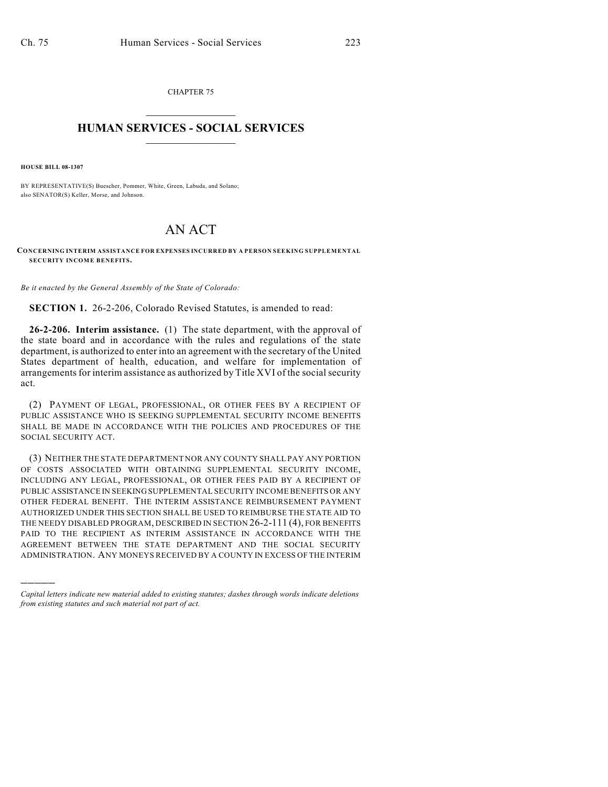CHAPTER 75  $\mathcal{L}_\text{max}$  . The set of the set of the set of the set of the set of the set of the set of the set of the set of the set of the set of the set of the set of the set of the set of the set of the set of the set of the set

## **HUMAN SERVICES - SOCIAL SERVICES**  $\frac{1}{2}$  ,  $\frac{1}{2}$  ,  $\frac{1}{2}$  ,  $\frac{1}{2}$  ,  $\frac{1}{2}$  ,  $\frac{1}{2}$  ,  $\frac{1}{2}$

**HOUSE BILL 08-1307**

)))))

BY REPRESENTATIVE(S) Buescher, Pommer, White, Green, Labuda, and Solano; also SENATOR(S) Keller, Morse, and Johnson.

## AN ACT

## **CONCERNING INTERIM ASSISTANCE FOR EXPENSES INCURRED BY A PERSON SEEKING SUPPLEMENTAL SECURITY INCOME BENEFITS.**

*Be it enacted by the General Assembly of the State of Colorado:*

**SECTION 1.** 26-2-206, Colorado Revised Statutes, is amended to read:

**26-2-206. Interim assistance.** (1) The state department, with the approval of the state board and in accordance with the rules and regulations of the state department, is authorized to enter into an agreement with the secretary of the United States department of health, education, and welfare for implementation of arrangements for interim assistance as authorized by Title XVI of the social security act.

(2) PAYMENT OF LEGAL, PROFESSIONAL, OR OTHER FEES BY A RECIPIENT OF PUBLIC ASSISTANCE WHO IS SEEKING SUPPLEMENTAL SECURITY INCOME BENEFITS SHALL BE MADE IN ACCORDANCE WITH THE POLICIES AND PROCEDURES OF THE SOCIAL SECURITY ACT.

(3) NEITHER THE STATE DEPARTMENT NOR ANY COUNTY SHALL PAY ANY PORTION OF COSTS ASSOCIATED WITH OBTAINING SUPPLEMENTAL SECURITY INCOME, INCLUDING ANY LEGAL, PROFESSIONAL, OR OTHER FEES PAID BY A RECIPIENT OF PUBLIC ASSISTANCE IN SEEKING SUPPLEMENTAL SECURITY INCOME BENEFITS OR ANY OTHER FEDERAL BENEFIT. THE INTERIM ASSISTANCE REIMBURSEMENT PAYMENT AUTHORIZED UNDER THIS SECTION SHALL BE USED TO REIMBURSE THE STATE AID TO THE NEEDY DISABLED PROGRAM, DESCRIBED IN SECTION 26-2-111 (4), FOR BENEFITS PAID TO THE RECIPIENT AS INTERIM ASSISTANCE IN ACCORDANCE WITH THE AGREEMENT BETWEEN THE STATE DEPARTMENT AND THE SOCIAL SECURITY ADMINISTRATION. ANY MONEYS RECEIVED BY A COUNTY IN EXCESS OF THE INTERIM

*Capital letters indicate new material added to existing statutes; dashes through words indicate deletions from existing statutes and such material not part of act.*